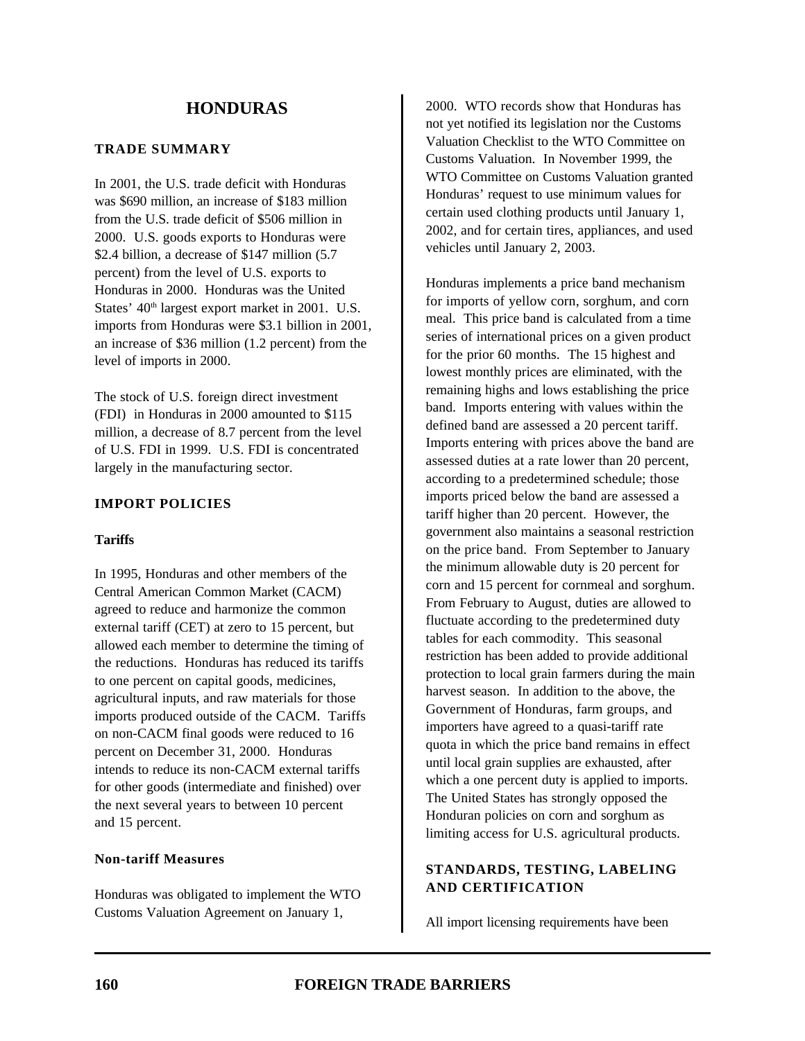### **TRADE SUMMARY**

In 2001, the U.S. trade deficit with Honduras was \$690 million, an increase of \$183 million from the U.S. trade deficit of \$506 million in 2000. U.S. goods exports to Honduras were \$2.4 billion, a decrease of \$147 million (5.7) percent) from the level of U.S. exports to Honduras in 2000. Honduras was the United States' 40<sup>th</sup> largest export market in 2001. U.S. imports from Honduras were \$3.1 billion in 2001, an increase of \$36 million (1.2 percent) from the level of imports in 2000.

The stock of U.S. foreign direct investment (FDI) in Honduras in 2000 amounted to \$115 million, a decrease of 8.7 percent from the level of U.S. FDI in 1999. U.S. FDI is concentrated largely in the manufacturing sector.

### **IMPORT POLICIES**

### **Tariffs**

In 1995, Honduras and other members of the Central American Common Market (CACM) agreed to reduce and harmonize the common external tariff (CET) at zero to 15 percent, but allowed each member to determine the timing of the reductions. Honduras has reduced its tariffs to one percent on capital goods, medicines, agricultural inputs, and raw materials for those imports produced outside of the CACM. Tariffs on non-CACM final goods were reduced to 16 percent on December 31, 2000. Honduras intends to reduce its non-CACM external tariffs for other goods (intermediate and finished) over the next several years to between 10 percent and 15 percent.

#### **Non-tariff Measures**

Honduras was obligated to implement the WTO Customs Valuation Agreement on January 1,

2000. WTO records show that Honduras has not yet notified its legislation nor the Customs Valuation Checklist to the WTO Committee on Customs Valuation. In November 1999, the WTO Committee on Customs Valuation granted Honduras' request to use minimum values for certain used clothing products until January 1, 2002, and for certain tires, appliances, and used vehicles until January 2, 2003.

Honduras implements a price band mechanism for imports of yellow corn, sorghum, and corn meal. This price band is calculated from a time series of international prices on a given product for the prior 60 months. The 15 highest and lowest monthly prices are eliminated, with the remaining highs and lows establishing the price band. Imports entering with values within the defined band are assessed a 20 percent tariff. Imports entering with prices above the band are assessed duties at a rate lower than 20 percent, according to a predetermined schedule; those imports priced below the band are assessed a tariff higher than 20 percent. However, the government also maintains a seasonal restriction on the price band. From September to January the minimum allowable duty is 20 percent for corn and 15 percent for cornmeal and sorghum. From February to August, duties are allowed to fluctuate according to the predetermined duty tables for each commodity. This seasonal restriction has been added to provide additional protection to local grain farmers during the main harvest season. In addition to the above, the Government of Honduras, farm groups, and importers have agreed to a quasi-tariff rate quota in which the price band remains in effect until local grain supplies are exhausted, after which a one percent duty is applied to imports. The United States has strongly opposed the Honduran policies on corn and sorghum as limiting access for U.S. agricultural products.

# **STANDARDS, TESTING, LABELING AND CERTIFICATION**

All import licensing requirements have been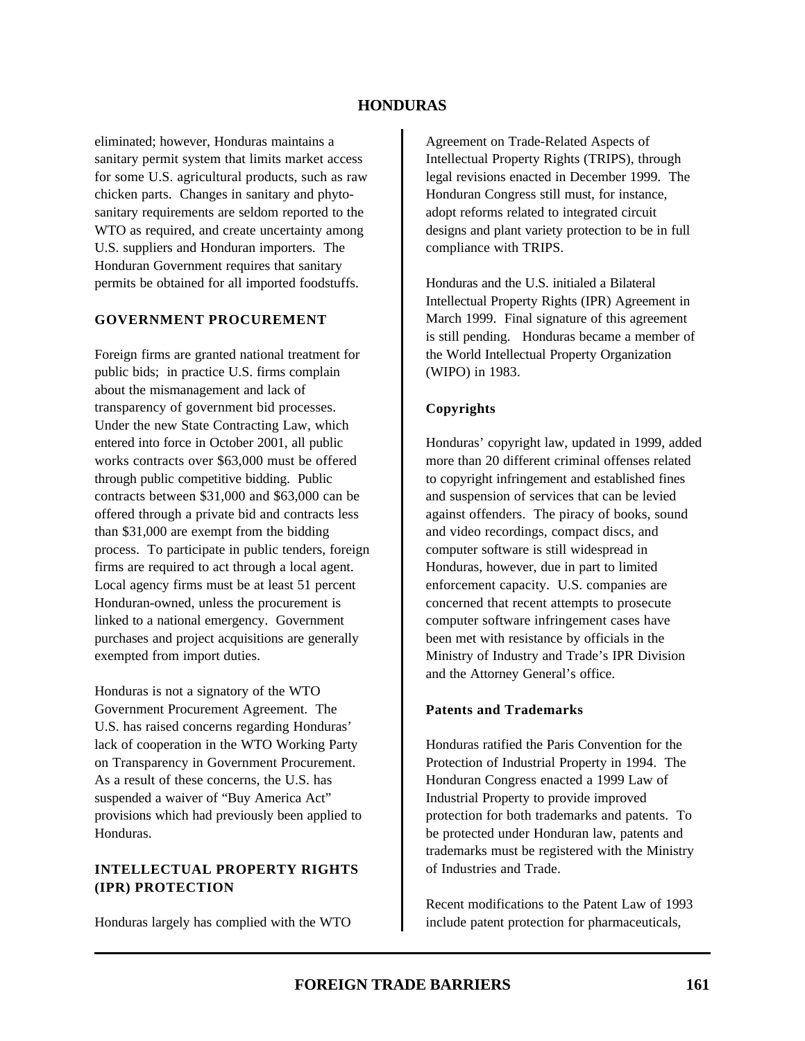eliminated; however, Honduras maintains a sanitary permit system that limits market access for some U.S. agricultural products, such as raw chicken parts. Changes in sanitary and phytosanitary requirements are seldom reported to the WTO as required, and create uncertainty among U.S. suppliers and Honduran importers. The Honduran Government requires that sanitary permits be obtained for all imported foodstuffs.

#### **GOVERNMENT PROCUREMENT**

Foreign firms are granted national treatment for public bids; in practice U.S. firms complain about the mismanagement and lack of transparency of government bid processes. Under the new State Contracting Law, which entered into force in October 2001, all public works contracts over \$63,000 must be offered through public competitive bidding. Public contracts between \$31,000 and \$63,000 can be offered through a private bid and contracts less than \$31,000 are exempt from the bidding process. To participate in public tenders, foreign firms are required to act through a local agent. Local agency firms must be at least 51 percent Honduran-owned, unless the procurement is linked to a national emergency. Government purchases and project acquisitions are generally exempted from import duties.

Honduras is not a signatory of the WTO Government Procurement Agreement. The U.S. has raised concerns regarding Honduras' lack of cooperation in the WTO Working Party on Transparency in Government Procurement. As a result of these concerns, the U.S. has suspended a waiver of "Buy America Act" provisions which had previously been applied to Honduras.

### **INTELLECTUAL PROPERTY RIGHTS (IPR) PROTECTION**

Honduras largely has complied with the WTO

Agreement on Trade-Related Aspects of Intellectual Property Rights (TRIPS), through legal revisions enacted in December 1999. The Honduran Congress still must, for instance, adopt reforms related to integrated circuit designs and plant variety protection to be in full compliance with TRIPS.

Honduras and the U.S. initialed a Bilateral Intellectual Property Rights (IPR) Agreement in March 1999. Final signature of this agreement is still pending. Honduras became a member of the World Intellectual Property Organization (WIPO) in 1983.

### **Copyrights**

Honduras' copyright law, updated in 1999, added more than 20 different criminal offenses related to copyright infringement and established fines and suspension of services that can be levied against offenders. The piracy of books, sound and video recordings, compact discs, and computer software is still widespread in Honduras, however, due in part to limited enforcement capacity. U.S. companies are concerned that recent attempts to prosecute computer software infringement cases have been met with resistance by officials in the Ministry of Industry and Trade's IPR Division and the Attorney General's office.

#### **Patents and Trademarks**

Honduras ratified the Paris Convention for the Protection of Industrial Property in 1994. The Honduran Congress enacted a 1999 Law of Industrial Property to provide improved protection for both trademarks and patents. To be protected under Honduran law, patents and trademarks must be registered with the Ministry of Industries and Trade.

Recent modifications to the Patent Law of 1993 include patent protection for pharmaceuticals,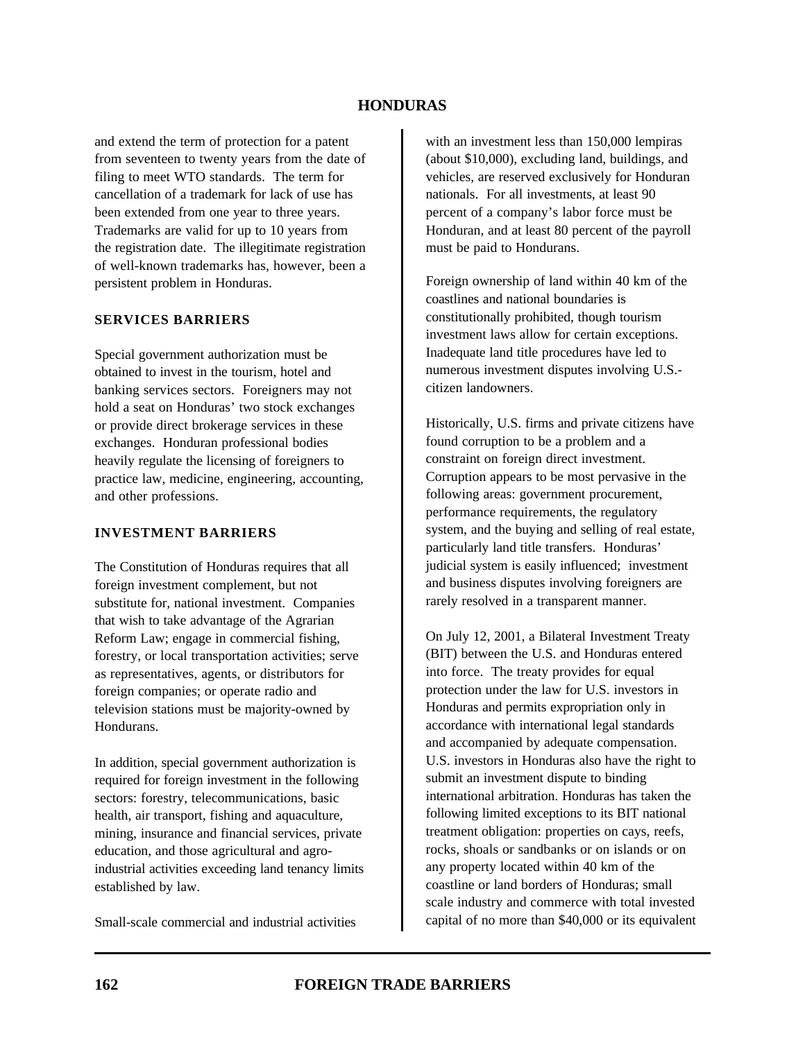and extend the term of protection for a patent from seventeen to twenty years from the date of filing to meet WTO standards. The term for cancellation of a trademark for lack of use has been extended from one year to three years. Trademarks are valid for up to 10 years from the registration date. The illegitimate registration of well-known trademarks has, however, been a persistent problem in Honduras.

#### **SERVICES BARRIERS**

Special government authorization must be obtained to invest in the tourism, hotel and banking services sectors. Foreigners may not hold a seat on Honduras' two stock exchanges or provide direct brokerage services in these exchanges. Honduran professional bodies heavily regulate the licensing of foreigners to practice law, medicine, engineering, accounting, and other professions.

### **INVESTMENT BARRIERS**

The Constitution of Honduras requires that all foreign investment complement, but not substitute for, national investment. Companies that wish to take advantage of the Agrarian Reform Law; engage in commercial fishing, forestry, or local transportation activities; serve as representatives, agents, or distributors for foreign companies; or operate radio and television stations must be majority-owned by Hondurans.

In addition, special government authorization is required for foreign investment in the following sectors: forestry, telecommunications, basic health, air transport, fishing and aquaculture, mining, insurance and financial services, private education, and those agricultural and agroindustrial activities exceeding land tenancy limits established by law.

Small-scale commercial and industrial activities

with an investment less than 150,000 lempiras (about \$10,000), excluding land, buildings, and vehicles, are reserved exclusively for Honduran nationals. For all investments, at least 90 percent of a company's labor force must be Honduran, and at least 80 percent of the payroll must be paid to Hondurans.

Foreign ownership of land within 40 km of the coastlines and national boundaries is constitutionally prohibited, though tourism investment laws allow for certain exceptions. Inadequate land title procedures have led to numerous investment disputes involving U.S. citizen landowners.

Historically, U.S. firms and private citizens have found corruption to be a problem and a constraint on foreign direct investment. Corruption appears to be most pervasive in the following areas: government procurement, performance requirements, the regulatory system, and the buying and selling of real estate, particularly land title transfers. Honduras' judicial system is easily influenced; investment and business disputes involving foreigners are rarely resolved in a transparent manner.

On July 12, 2001, a Bilateral Investment Treaty (BIT) between the U.S. and Honduras entered into force. The treaty provides for equal protection under the law for U.S. investors in Honduras and permits expropriation only in accordance with international legal standards and accompanied by adequate compensation. U.S. investors in Honduras also have the right to submit an investment dispute to binding international arbitration. Honduras has taken the following limited exceptions to its BIT national treatment obligation: properties on cays, reefs, rocks, shoals or sandbanks or on islands or on any property located within 40 km of the coastline or land borders of Honduras; small scale industry and commerce with total invested capital of no more than \$40,000 or its equivalent